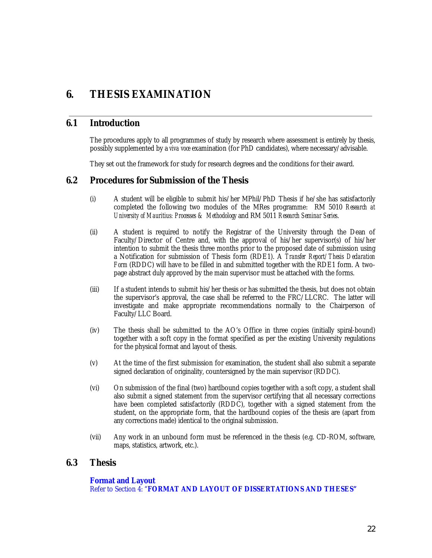# **6. THESIS EXAMINATION**

#### **6.1 Introduction**

The procedures apply to all programmes of study by research where assessment is entirely by thesis, possibly supplemented by a *viva voce* examination (for PhD candidates), where necessary/advisable.

They set out the framework for study for research degrees and the conditions for their award.

#### **6.2 Procedures for Submission of the Thesis**

- (i) A student will be eligible to submit his/her MPhil/PhD Thesis if he/she has satisfactorily completed the following two modules of the MRes programme: RM 5010 *Research at University of Mauritius: Processes & Methodology* and RM 5011 *Research Seminar Series*.
- (ii) A student is required to notify the Registrar of the University through the Dean of Faculty/Director of Centre and, with the approval of his/her supervisor(s) of his/her intention to submit the thesis three months prior to the proposed date of submission using a Notification for submission of Thesis form (RDE1). A *Transfer Report/Thesis Declaration Form* (RDDC) will have to be filled in and submitted together with the RDE1 form. A twopage abstract duly approved by the main supervisor must be attached with the forms.
- (iii) If a student intends to submit his/her thesis or has submitted the thesis, but does not obtain the supervisor's approval, the case shall be referred to the FRC/LLCRC. The latter will investigate and make appropriate recommendations normally to the Chairperson of Faculty/LLC Board.
- (iv) The thesis shall be submitted to the AO's Office in three copies (initially spiral-bound) together with a soft copy in the format specified as per the existing University regulations for the physical format and layout of thesis.
- (v) At the time of the first submission for examination, the student shall also submit a separate signed declaration of originality, countersigned by the main supervisor (RDDC).
- (vi) On submission of the final (two) hardbound copies together with a soft copy, a student shall also submit a signed statement from the supervisor certifying that all necessary corrections have been completed satisfactorily (RDDC), together with a signed statement from the student, on the appropriate form, that the hardbound copies of the thesis are (apart from any corrections made) identical to the original submission.
- (vii) Any work in an unbound form must be referenced in the thesis (e.g. CD-ROM, software, maps, statistics, artwork, etc.).

#### **6.3 Thesis**

#### **Format and Layout**

Refer to Section 4: "**FORMAT AND LAYOUT OF DISSERTATIONS AND THESES"**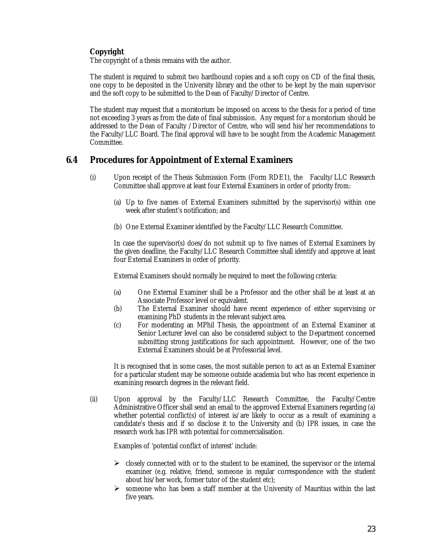#### **Copyright**

The copyright of a thesis remains with the author.

The student is required to submit two hardbound copies and a soft copy on CD of the final thesis, one copy to be deposited in the University library and the other to be kept by the main supervisor and the soft copy to be submitted to the Dean of Faculty/Director of Centre.

The student may request that a moratorium be imposed on access to the thesis for a period of time not exceeding 3 years as from the date of final submission. Any request for a moratorium should be addressed to the Dean of Faculty /Director of Centre, who will send his/her recommendations to the Faculty/LLC Board. The final approval will have to be sought from the Academic Management Committee.

## **6.4 Procedures for Appointment of External Examiners**

- (i) Upon receipt of the Thesis Submission Form (Form RDE1), the Faculty/LLC Research Committee shall approve at least four External Examiners in order of priority from:
	- (a) Up to five names of External Examiners submitted by the supervisor(s) within one week after student's notification; and
	- (b) One External Examiner identified by the Faculty/LLC Research Committee.

In case the supervisor(s) does/do not submit up to five names of External Examiners by the given deadline, the Faculty/LLC Research Committee shall identify and approve at least four External Examiners in order of priority.

External Examiners should normally be required to meet the following criteria:

- (a) One External Examiner shall be a Professor and the other shall be at least at an Associate Professor level or equivalent.
- (b) The External Examiner should have recent experience of either supervising or examining PhD students in the relevant subject area.
- (c) For moderating an MPhil Thesis, the appointment of an External Examiner at Senior Lecturer level can also be considered subject to the Department concerned submitting strong justifications for such appointment. However, one of the two External Examiners should be at Professorial level.

It is recognised that in some cases, the most suitable person to act as an External Examiner for a particular student may be someone outside academia but who has recent experience in examining research degrees in the relevant field.

(ii) Upon approval by the Faculty/LLC Research Committee, the Faculty/Centre Administrative Officer shall send an email to the approved External Examiners regarding (a) whether potential conflict(s) of interest is/are likely to occur as a result of examining a candidate's thesis and if so disclose it to the University and (b) IPR issues, in case the research work has IPR with potential for commercialisation.

Examples of 'potential conflict of interest' include:

- $\triangleright$  closely connected with or to the student to be examined, the supervisor or the internal examiner (e.g. relative, friend, someone in regular correspondence with the student about his/her work, former tutor of the student etc);
- $\triangleright$  someone who has been a staff member at the University of Mauritius within the last five years.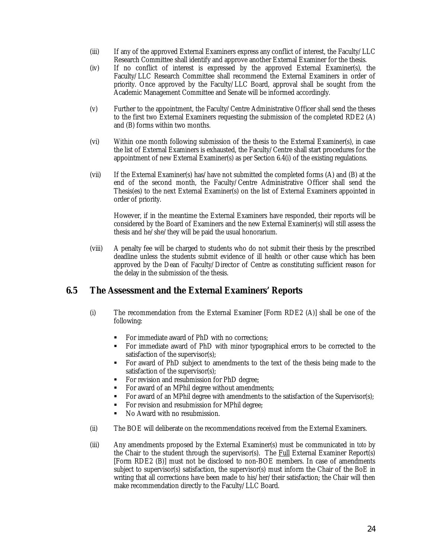- (iii) If any of the approved External Examiners express any conflict of interest, the Faculty/LLC Research Committee shall identify and approve another External Examiner for the thesis.
- (iv) If no conflict of interest is expressed by the approved External Examiner(s), the Faculty/LLC Research Committee shall recommend the External Examiners in order of priority. Once approved by the Faculty/LLC Board, approval shall be sought from the Academic Management Committee and Senate will be informed accordingly.
- (v) Further to the appointment, the Faculty/Centre Administrative Officer shall send the theses to the first two External Examiners requesting the submission of the completed RDE2 (A) and (B) forms within two months.
- (vi) Within one month following submission of the thesis to the External Examiner(s), in case the list of External Examiners is exhausted, the Faculty/Centre shall start procedures for the appointment of new External Examiner(s) as per Section 6.4(i) of the existing regulations.
- (vii) If the External Examiner(s) has/have not submitted the completed forms (A) and (B) at the end of the second month, the Faculty/Centre Administrative Officer shall send the Thesis(es) to the next External Examiner(s) on the list of External Examiners appointed in order of priority.

However, if in the meantime the External Examiners have responded, their reports will be considered by the Board of Examiners and the new External Examiner(s) will still assess the thesis and he/she/they will be paid the usual honorarium.

(viii) A penalty fee will be charged to students who do not submit their thesis by the prescribed deadline unless the students submit evidence of ill health or other cause which has been approved by the Dean of Faculty/Director of Centre as constituting sufficient reason for the delay in the submission of the thesis.

### **6.5 The Assessment and the External Examiners' Reports**

- (i) The recommendation from the External Examiner [Form RDE2 (A)] shall be one of the following:
	- For immediate award of PhD with no corrections;
	- For immediate award of PhD with minor typographical errors to be corrected to the satisfaction of the supervisor(s);
	- For award of PhD subject to amendments to the text of the thesis being made to the satisfaction of the supervisor(s);
	- For revision and resubmission for PhD degree;
	- For award of an MPhil degree without amendments;
	- For award of an MPhil degree with amendments to the satisfaction of the Supervisor(s);
	- For revision and resubmission for MPhil degree;
	- No Award with no resubmission.
- (ii) The BOE will deliberate on the recommendations received from the External Examiners.
- (iii) Any amendments proposed by the External Examiner(s) must be communicated in *toto* by the Chair to the student through the supervisor(s). The Full External Examiner Report(s) [Form RDE2 (B)] must not be disclosed to non-BOE members. In case of amendments subject to supervisor(s) satisfaction, the supervisor(s) must inform the Chair of the BoE in writing that all corrections have been made to his/her/their satisfaction; the Chair will then make recommendation directly to the Faculty/LLC Board.